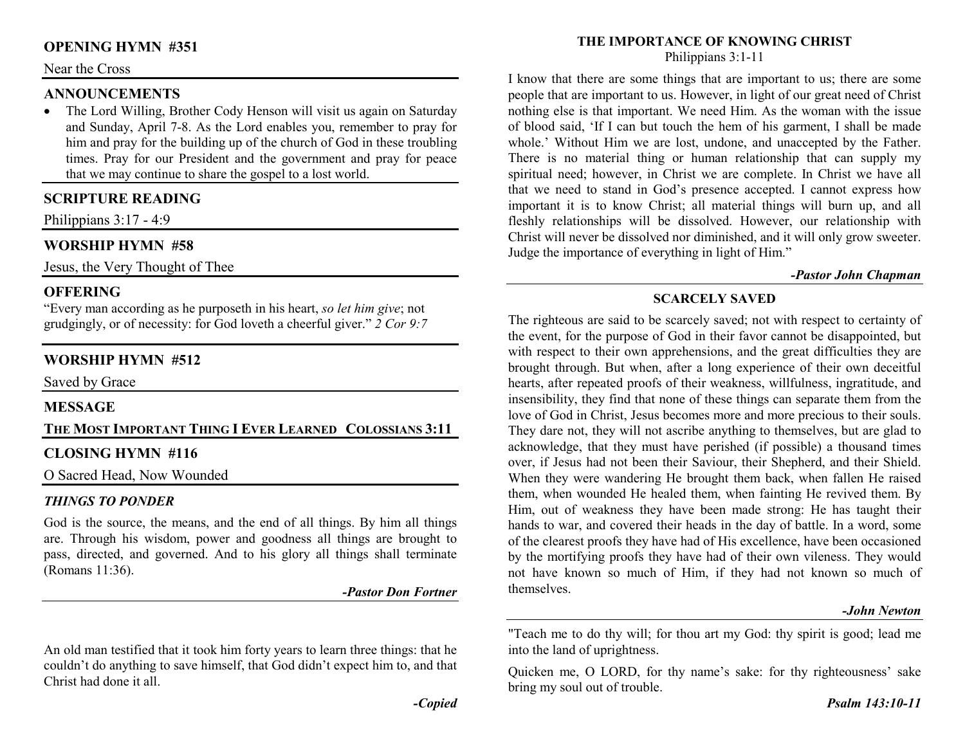### **OPENING HYMN #351**

#### Near the Cross

### **ANNOUNCEMENTS**

 • The Lord Willing, Brother Cody Henson will visit us again on Saturday and Sunday, April 7-8. As the Lord enables you, remember to pray for him and pray for the building up of the church of God in these troubling times. Pray for our President and the government and pray for peace that we may continue to share the gospel to a lost world.

## **SCRIPTURE READING**

Philippians 3:17 - 4:9

## **WORSHIP HYMN #58**

Jesus, the Very Thought of Thee

### **OFFERING**

 "Every man according as he purposeth in his heart, *so let him give*; not grudgingly, or of necessity: for God loveth a cheerful giver." *2 Cor 9:7*

## **WORSHIP HYMN #512**

Saved by Grace

### **MESSAGE**

# **THE MOST IMPORTANT THING I <sup>E</sup>VER LEARNED COLOSSIANS 3:11**

### **CLOSING HYMN #116**

O Sacred Head, Now Wounded

### *THINGS TO PONDER*

 God is the source, the means, and the end of all things. By him all things are. Through his wisdom, power and goodness all things are brought to pass, directed, and governed. And to his glory all things shall terminate (Romans 11:36).

*-Pastor Don Fortner* 

An old man testified that it took him forty years to learn three things: that he couldn't do anything to save himself, that God didn't expect him to, and that Christ had done it all.

#### **THE IMPORTANCE OF KNOWING CHRIST**

Philippians 3:1-11

I know that there are some things that are important to us; there are some people that are important to us. However, in light of our great need of Christ nothing else is that important. We need Him. As the woman with the issue of blood said, 'If I can but touch the hem of his garment, I shall be made whole.' Without Him we are lost, undone, and unaccepted by the Father. There is no material thing or human relationship that can supply my spiritual need; however, in Christ we are complete. In Christ we have all that we need to stand in God's presence accepted. I cannot express how important it is to know Christ; all material things will burn up, and all fleshly relationships will be dissolved. However, our relationship with Christ will never be dissolved nor diminished, and it will only grow sweeter. Judge the importance of everything in light of Him."

#### *-Pastor John Chapman*

## **SCARCELY SAVED**

The righteous are said to be scarcely saved; not with respect to certainty of the event, for the purpose of God in their favor cannot be disappointed, but with respect to their own apprehensions, and the great difficulties they are brought through. But when, after a long experience of their own deceitful hearts, after repeated proofs of their weakness, willfulness, ingratitude, and insensibility, they find that none of these things can separate them from the love of God in Christ, Jesus becomes more and more precious to their souls. They dare not, they will not ascribe anything to themselves, but are glad to acknowledge, that they must have perished (if possible) a thousand times over, if Jesus had not been their Saviour, their Shepherd, and their Shield. When they were wandering He brought them back, when fallen He raised them, when wounded He healed them, when fainting He revived them. By Him, out of weakness they have been made strong: He has taught their hands to war, and covered their heads in the day of battle. In a word, some of the clearest proofs they have had of His excellence, have been occasioned by the mortifying proofs they have had of their own vileness. They would not have known so much of Him, if they had not known so much of themselves.

#### *-John Newton*

"Teach me to do thy will; for thou art my God: thy spirit is good; lead me into the land of uprightness.

Quicken me, O LORD, for thy name's sake: for thy righteousness' sake bring my soul out of trouble.